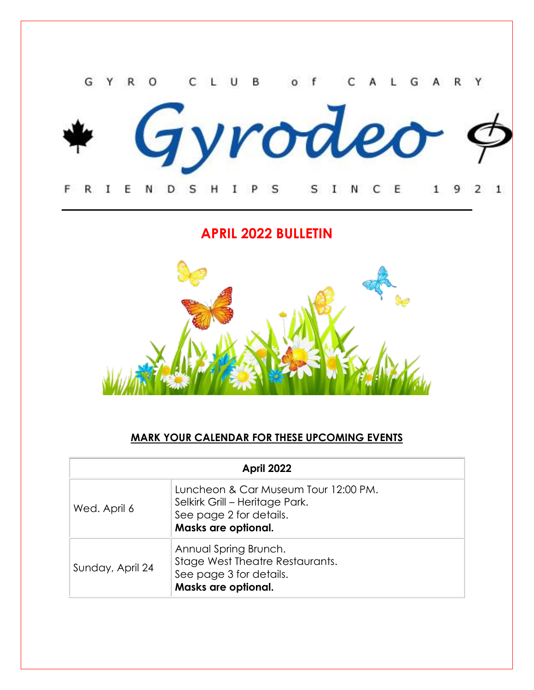

**APRIL 2022 BULLETIN**



## **MARK YOUR CALENDAR FOR THESE UPCOMING EVENTS**

| April 2022       |                                                                                                                          |  |
|------------------|--------------------------------------------------------------------------------------------------------------------------|--|
| Wed. April 6     | Luncheon & Car Museum Tour 12:00 PM.<br>Selkirk Grill - Heritage Park.<br>See page 2 for details.<br>Masks are optional. |  |
| Sunday, April 24 | Annual Spring Brunch.<br>Stage West Theatre Restaurants.<br>See page 3 for details.<br>Masks are optional.               |  |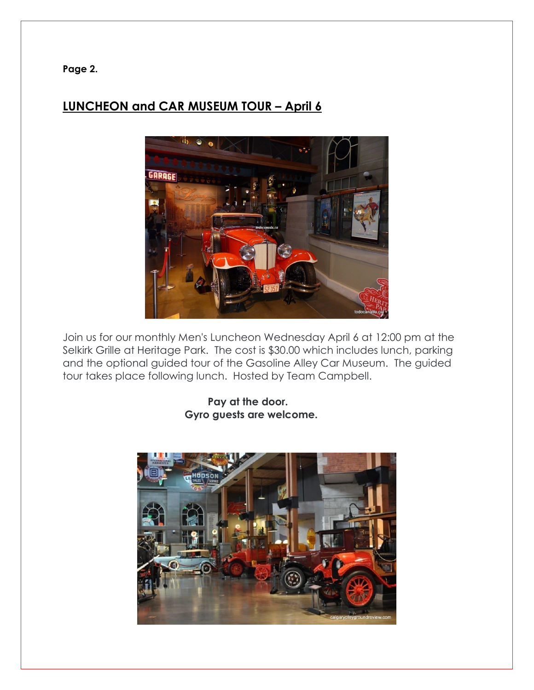**Page 2.**

# **LUNCHEON and CAR MUSEUM TOUR – April 6**



Join us for our monthly Men's Luncheon Wednesday April 6 at 12:00 pm at the Selkirk Grille at Heritage Park. The cost is \$30.00 which includes lunch, parking and the optional guided tour of the Gasoline Alley Car Museum. The guided tour takes place following lunch. Hosted by Team Campbell.

> **Pay at the door. Gyro guests are welcome.**

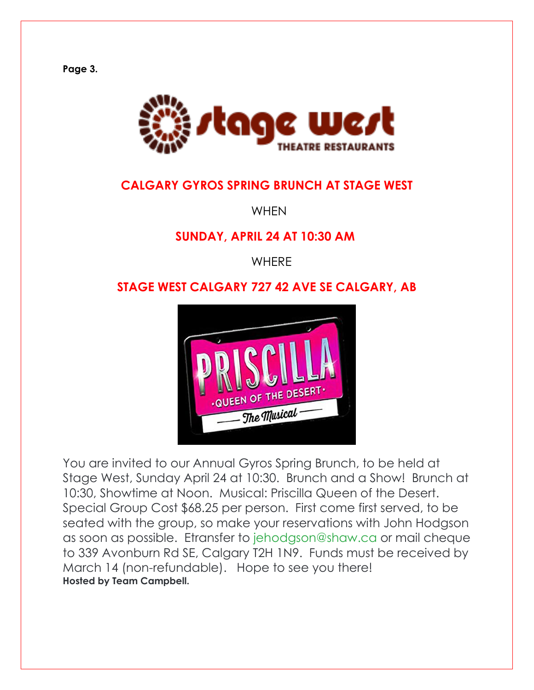**Page 3.**



# **CALGARY GYROS SPRING BRUNCH AT STAGE WEST**

**WHEN** 

## **SUNDAY, APRIL 24 AT 10:30 AM**

**WHERE** 

# **STAGE WEST CALGARY 727 42 AVE SE CALGARY, AB**



You are invited to our Annual Gyros Spring Brunch, to be held at Stage West, Sunday April 24 at 10:30. Brunch and a Show! Brunch at 10:30, Showtime at Noon. Musical: Priscilla Queen of the Desert. Special Group Cost \$68.25 per person. First come first served, to be seated with the group, so make your reservations with John Hodgson as soon as possible. Etransfer to [jehodgson@shaw.ca](mailto:jehodgson@shaw.ca) or mail cheque to 339 Avonburn Rd SE, Calgary T2H 1N9. Funds must be received by March 14 (non-refundable). Hope to see you there! **Hosted by Team Campbell.**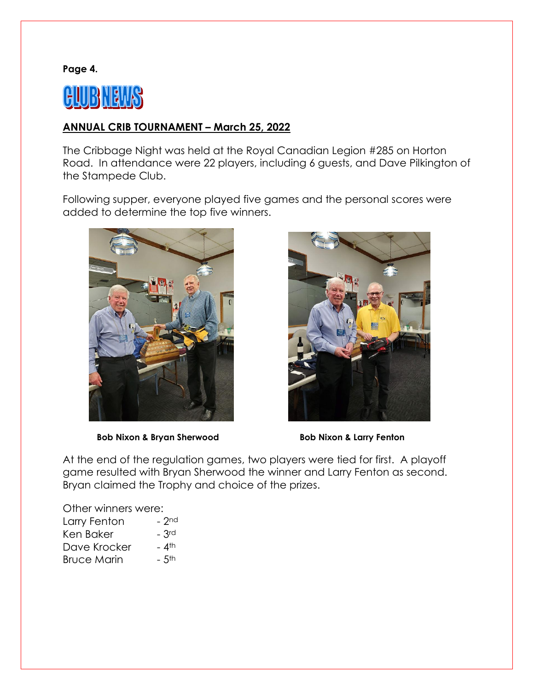**Page 4.**



### **ANNUAL CRIB TOURNAMENT – March 25, 2022**

The Cribbage Night was held at the Royal Canadian Legion #285 on Horton Road. In attendance were 22 players, including 6 guests, and Dave Pilkington of the Stampede Club.

Following supper, everyone played five games and the personal scores were added to determine the top five winners.





 **Bob Nixon & Bryan Sherwood Bob Nixon & Larry Fenton** 

At the end of the regulation games, two players were tied for first. A playoff game resulted with Bryan Sherwood the winner and Larry Fenton as second. Bryan claimed the Trophy and choice of the prizes.

Other winners were:

| Larry Fenton       | $ 2nd$             |
|--------------------|--------------------|
| Ken Baker          | $-$ 3rd            |
| Dave Krocker       | <b>_ 4</b> th      |
| <b>Bruce Marin</b> | $-5$ <sup>th</sup> |
|                    |                    |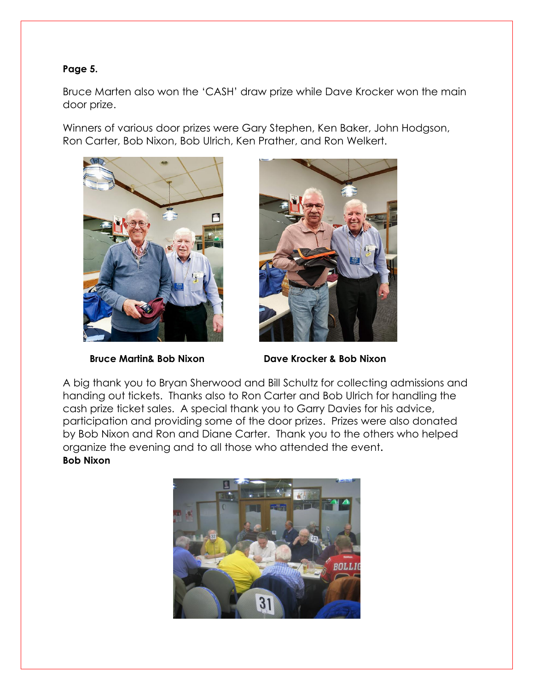### **Page 5.**

Bruce Marten also won the 'CASH' draw prize while Dave Krocker won the main door prize.

Winners of various door prizes were Gary Stephen, Ken Baker, John Hodgson, Ron Carter, Bob Nixon, Bob Ulrich, Ken Prather, and Ron Welkert.





 **Bruce Martin& Bob Nixon Dave Krocker & Bob Nixon**

A big thank you to Bryan Sherwood and Bill Schultz for collecting admissions and handing out tickets. Thanks also to Ron Carter and Bob Ulrich for handling the cash prize ticket sales. A special thank you to Garry Davies for his advice, participation and providing some of the door prizes. Prizes were also donated by Bob Nixon and Ron and Diane Carter. Thank you to the others who helped organize the evening and to all those who attended the event. **Bob Nixon**

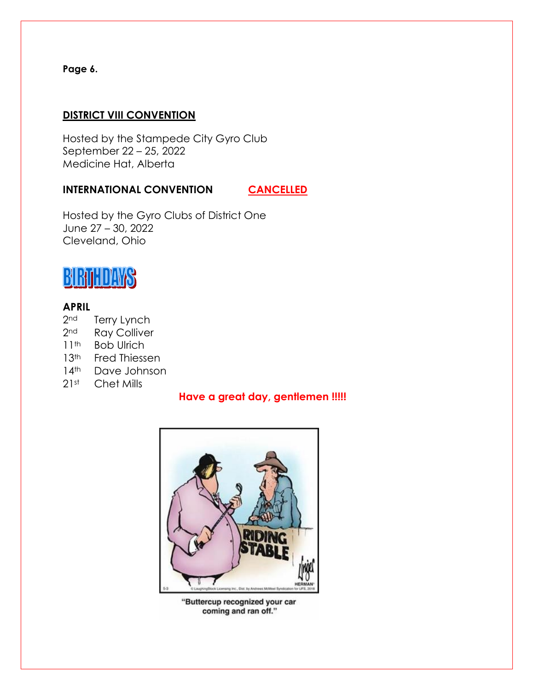### **Page 6.**

### **DISTRICT VIII CONVENTION**

Hosted by the Stampede City Gyro Club September 22 – 25, 2022 Medicine Hat, Alberta

### **INTERNATIONAL CONVENTION CANCELLED**

Hosted by the Gyro Clubs of District One June 27 – 30, 2022 Cleveland, Ohio

# BIRTHDAWS

### **APRIL**

- 2<sup>nd</sup> Terry Lynch
- 2<sup>nd</sup> Ray Colliver
- 11<sup>th</sup> Bob Ulrich
- 13<sup>th</sup> Fred Thiessen
- 14<sup>th</sup> Dave Johnson
- 21st Chet Mills

### **Have a great day, gentlemen !!!!!**



"Buttercup recognized your car coming and ran off."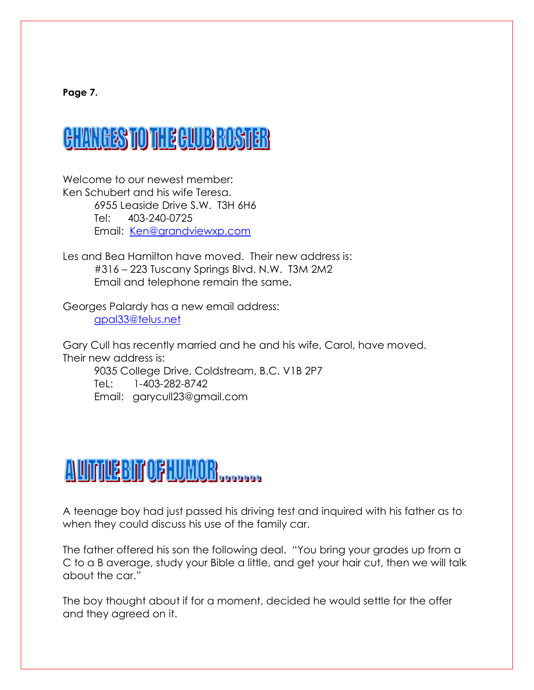**Page 7.**

# **CHANGES TO THE CLUB ROSTER**

Welcome to our newest member: Ken Schubert and his wife Teresa. 6955 Leaside Drive S.W. T3H 6H6 Tel: 403-240-0725 Email: [Ken@grandviewxp.com](mailto:Ken@grandviewxp.com)

Les and Bea Hamilton have moved. Their new address is: #316 – 223 Tuscany Springs Blvd. N.W. T3M 2M2 Email and telephone remain the same**.**

Georges Palardy has a new email address: [gpal33@telus.net](mailto:gpal33@telus.net)

Gary Cull has recently married and he and his wife, Carol, have moved. Their new address is:

9035 College Drive, Coldstream, B.C. V1B 2P7 TeL: 1-403-282-8742 Email: garycull23@gmail.com

# AUTHEBITOFHUMOR

A teenage boy had just passed his driving test and inquired with his father as to when they could discuss his use of the family car.

The father offered his son the following deal. "You bring your grades up from a C to a B average, study your Bible a little, and get your hair cut, then we will talk about the car."

The boy thought about if for a moment, decided he would settle for the offer and they agreed on it.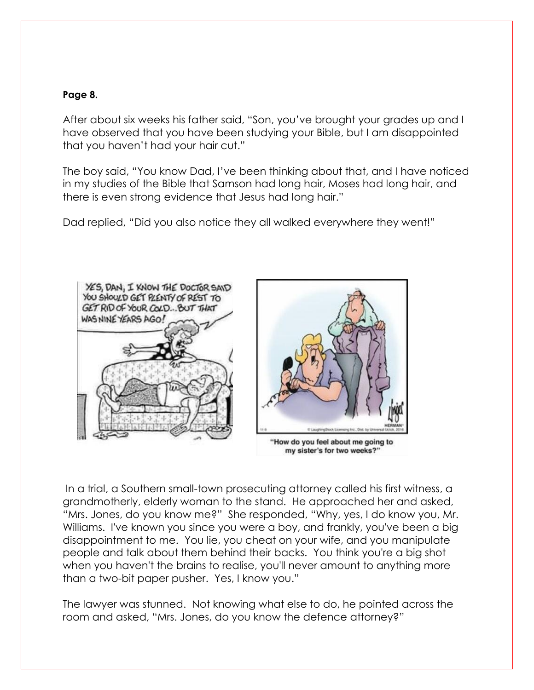### **Page 8.**

After about six weeks his father said, "Son, you've brought your grades up and I have observed that you have been studying your Bible, but I am disappointed that you haven't had your hair cut."

The boy said, "You know Dad, I've been thinking about that, and I have noticed in my studies of the Bible that Samson had long hair, Moses had long hair, and there is even strong evidence that Jesus had long hair."

Dad replied, "Did you also notice they all walked everywhere they went!"



In a trial, a Southern small-town prosecuting attorney called his first witness, a grandmotherly, elderly woman to the stand. He approached her and asked, "Mrs. Jones, do you know me?" She responded, "Why, yes, I do know you, Mr. Williams. I've known you since you were a boy, and frankly, you've been a big disappointment to me. You lie, you cheat on your wife, and you manipulate people and talk about them behind their backs. You think you're a big shot when you haven't the brains to realise, you'll never amount to anything more than a two-bit paper pusher. Yes, I know you."

The lawyer was stunned. Not knowing what else to do, he pointed across the room and asked, "Mrs. Jones, do you know the defence attorney?"